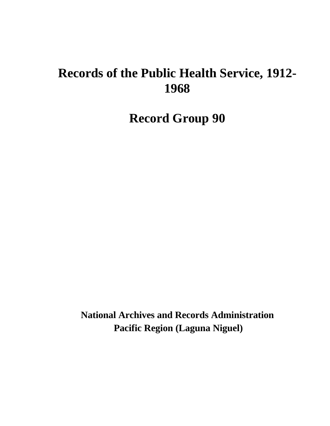# **Records of the Public Health Service, 1912- 1968**

**Record Group 90**

**National Archives and Records Administration Pacific Region (Laguna Niguel)**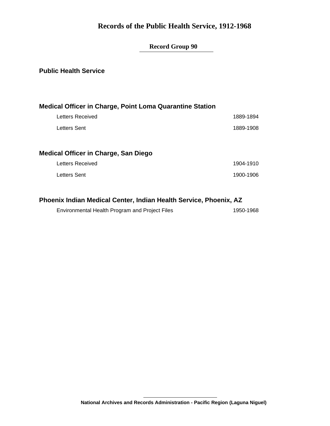### **Records of the Public Health Service, 1912-1968**

### **Record Group 90**

#### **Public Health Service**

| <b>Medical Officer in Charge, Point Loma Quarantine Station</b> |           |
|-----------------------------------------------------------------|-----------|
| Letters Received                                                | 1889-1894 |
| Letters Sent                                                    | 1889-1908 |
|                                                                 |           |
| Medical Officer in Charge, San Diego                            |           |
| <b>Letters Received</b>                                         | 1904-1910 |
| Letters Sent                                                    | 1900-1906 |
|                                                                 |           |

### **Phoenix Indian Medical Center, Indian Health Service, Phoenix, AZ**

| Environmental Health Program and Project Files | 1950-1968 |
|------------------------------------------------|-----------|
|                                                |           |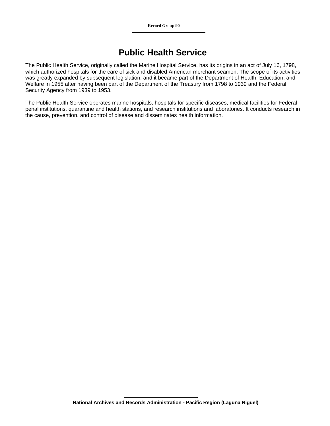### **Public Health Service**

The Public Health Service, originally called the Marine Hospital Service, has its origins in an act of July 16, 1798, which authorized hospitals for the care of sick and disabled American merchant seamen. The scope of its activities was greatly expanded by subsequent legislation, and it became part of the Department of Health, Education, and Welfare in 1955 after having been part of the Department of the Treasury from 1798 to 1939 and the Federal Security Agency from 1939 to 1953.

The Public Health Service operates marine hospitals, hospitals for specific diseases, medical facilities for Federal penal institutions, quarantine and health stations, and research institutions and laboratories. It conducts research in the cause, prevention, and control of disease and disseminates health information.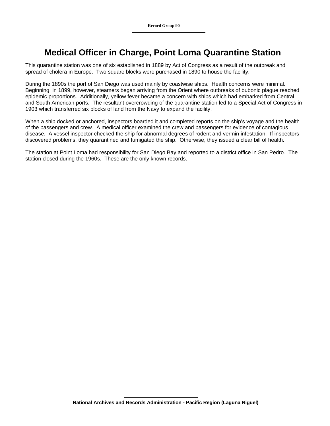# **Medical Officer in Charge, Point Loma Quarantine Station**

This quarantine station was one of six established in 1889 by Act of Congress as a result of the outbreak and spread of cholera in Europe. Two square blocks were purchased in 1890 to house the facility.

During the 1890s the port of San Diego was used mainly by coastwise ships. Health concerns were minimal. Beginning in 1899, however, steamers began arriving from the Orient where outbreaks of bubonic plague reached epidemic proportions. Additionally, yellow fever became a concern with ships which had embarked from Central and South American ports. The resultant overcrowding of the quarantine station led to a Special Act of Congress in 1903 which transferred six blocks of land from the Navy to expand the facility.

When a ship docked or anchored, inspectors boarded it and completed reports on the ship's voyage and the health of the passengers and crew. A medical officer examined the crew and passengers for evidence of contagious disease. A vessel inspector checked the ship for abnormal degrees of rodent and vermin infestation. If inspectors discovered problems, they quarantined and fumigated the ship. Otherwise, they issued a clear bill of health.

The station at Point Loma had responsibility for San Diego Bay and reported to a district office in San Pedro. The station closed during the 1960s. These are the only known records.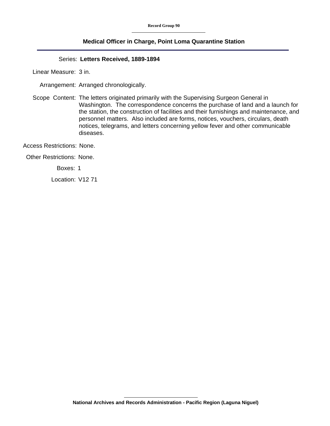#### **Medical Officer in Charge, Point Loma Quarantine Station**

#### Series: **Letters Received, 1889-1894**

Linear Measure: 3 in.

Arrangement: Arranged chronologically.

Scope Content: The letters originated primarily with the Supervising Surgeon General in Washington. The correspondence concerns the purchase of land and a launch for the station, the construction of facilities and their furnishings and maintenance, and personnel matters. Also included are forms, notices, vouchers, circulars, death notices, telegrams, and letters concerning yellow fever and other communicable diseases.

Access Restrictions: None.

Other Restrictions: None.

Boxes: 1

Location: V12 71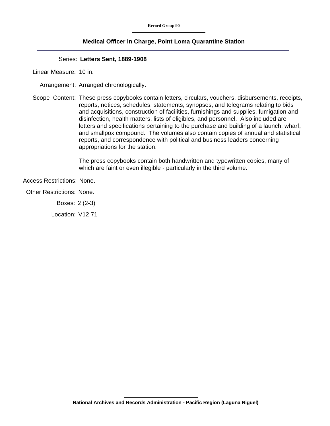#### **Medical Officer in Charge, Point Loma Quarantine Station**

#### Series: **Letters Sent, 1889-1908**

Linear Measure: 10 in.

Arrangement: Arranged chronologically.

Scope Content: These press copybooks contain letters, circulars, vouchers, disbursements, receipts, reports, notices, schedules, statements, synopses, and telegrams relating to bids and acquisitions, construction of facilities, furnishings and supplies, fumigation and disinfection, health matters, lists of eligibles, and personnel. Also included are letters and specifications pertaining to the purchase and building of a launch, wharf, and smallpox compound. The volumes also contain copies of annual and statistical reports, and correspondence with political and business leaders concerning appropriations for the station.

> The press copybooks contain both handwritten and typewritten copies, many of which are faint or even illegible - particularly in the third volume.

Access Restrictions: None.

Other Restrictions: None.

Boxes: 2 (2-3)

Location: V12 71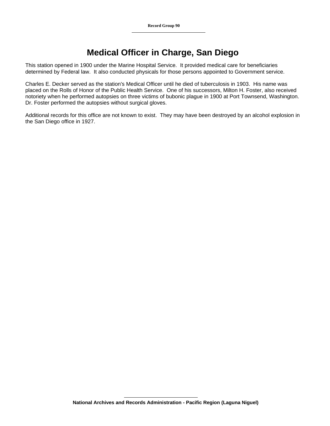# **Medical Officer in Charge, San Diego**

This station opened in 1900 under the Marine Hospital Service. It provided medical care for beneficiaries determined by Federal law. It also conducted physicals for those persons appointed to Government service.

Charles E. Decker served as the station's Medical Officer until he died of tuberculosis in 1903. His name was placed on the Rolls of Honor of the Public Health Service. One of his successors, Milton H. Foster, also received notoriety when he performed autopsies on three victims of bubonic plague in 1900 at Port Townsend, Washington. Dr. Foster performed the autopsies without surgical gloves.

Additional records for this office are not known to exist. They may have been destroyed by an alcohol explosion in the San Diego office in 1927.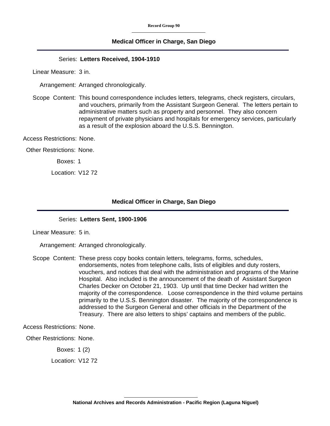#### **Medical Officer in Charge, San Diego**

#### Series: **Letters Received, 1904-1910**

Linear Measure: 3 in.

Arrangement: Arranged chronologically.

Scope Content: This bound correspondence includes letters, telegrams, check registers, circulars, and vouchers, primarily from the Assistant Surgeon General. The letters pertain to administrative matters such as property and personnel. They also concern repayment of private physicians and hospitals for emergency services, particularly as a result of the explosion aboard the U.S.S. Bennington.

Access Restrictions: None.

Other Restrictions: None.

Boxes: 1

Location: V12 72

#### **Medical Officer in Charge, San Diego**

#### Series: **Letters Sent, 1900-1906**

Linear Measure: 5 in.

Arrangement: Arranged chronologically.

Scope Content: These press copy books contain letters, telegrams, forms, schedules, endorsements, notes from telephone calls, lists of eligibles and duty rosters, vouchers, and notices that deal with the administration and programs of the Marine Hospital. Also included is the announcement of the death of Assistant Surgeon Charles Decker on October 21, 1903. Up until that time Decker had written the majority of the correspondence. Loose correspondence in the third volume pertains primarily to the U.S.S. Bennington disaster. The majority of the correspondence is addressed to the Surgeon General and other officials in the Department of the Treasury. There are also letters to ships' captains and members of the public.

Access Restrictions: None.

Other Restrictions: None.

Boxes: 1 (2)

Location: V12 72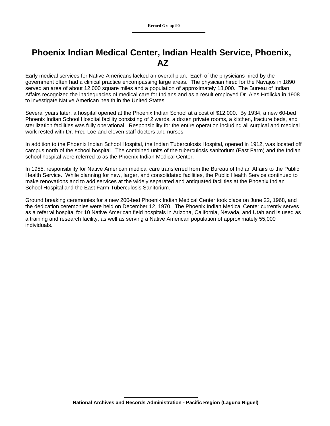## **Phoenix Indian Medical Center, Indian Health Service, Phoenix, AZ**

Early medical services for Native Americans lacked an overall plan. Each of the physicians hired by the government often had a clinical practice encompassing large areas. The physician hired for the Navajos in 1890 served an area of about 12,000 square miles and a population of approximately 18,000. The Bureau of Indian Affairs recognized the inadequacies of medical care for Indians and as a result employed Dr. Ales Hrdlicka in 1908 to investigate Native American health in the United States.

Several years later, a hospital opened at the Phoenix Indian School at a cost of \$12,000. By 1934, a new 60-bed Phoenix Indian School Hospital facility consisting of 2 wards, a dozen private rooms, a kitchen, fracture beds, and sterilization facilities was fully operational. Responsibility for the entire operation including all surgical and medical work rested with Dr. Fred Loe and eleven staff doctors and nurses.

In addition to the Phoenix Indian School Hospital, the Indian Tuberculosis Hospital, opened in 1912, was located off campus north of the school hospital. The combined units of the tuberculosis sanitorium (East Farm) and the Indian school hospital were referred to as the Phoenix Indian Medical Center.

In 1955, responsibility for Native American medical care transferred from the Bureau of Indian Affairs to the Public Health Service. While planning for new, larger, and consolidated facilities, the Public Health Service continued to make renovations and to add services at the widely separated and antiquated facilities at the Phoenix Indian School Hospital and the East Farm Tuberculosis Sanitorium.

Ground breaking ceremonies for a new 200-bed Phoenix Indian Medical Center took place on June 22, 1968, and the dedication ceremonies were held on December 12, 1970. The Phoenix Indian Medical Center currently serves as a referral hospital for 10 Native American field hospitals in Arizona, California, Nevada, and Utah and is used as a training and research facility, as well as serving a Native American population of approximately 55,000 individuals.